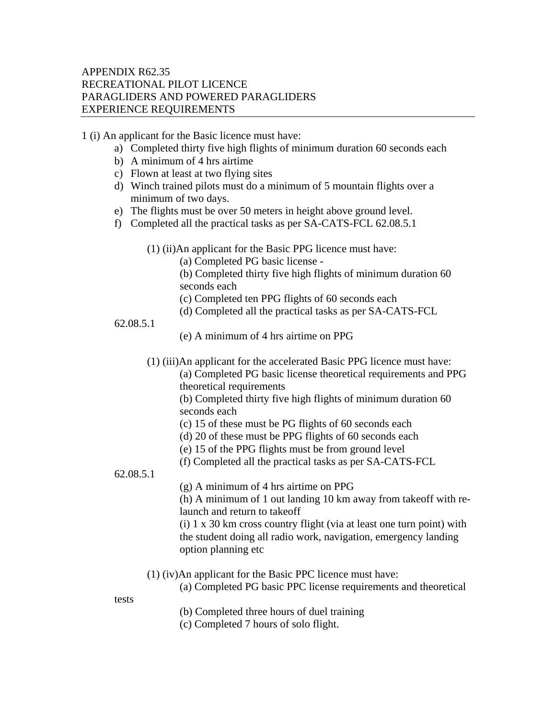## APPENDIX R62.35 RECREATIONAL PILOT LICENCE PARAGLIDERS AND POWERED PARAGLIDERS EXPERIENCE REQUIREMENTS

1 (i) An applicant for the Basic licence must have:

- a) Completed thirty five high flights of minimum duration 60 seconds each
- b) A minimum of 4 hrs airtime
- c) Flown at least at two flying sites
- d) Winch trained pilots must do a minimum of 5 mountain flights over a minimum of two days.
- e) The flights must be over 50 meters in height above ground level.
- f) Completed all the practical tasks as per SA-CATS-FCL 62.08.5.1
	- (1) (ii)An applicant for the Basic PPG licence must have:
		- (a) Completed PG basic license -
		- (b) Completed thirty five high flights of minimum duration 60 seconds each
		- (c) Completed ten PPG flights of 60 seconds each
		- (d) Completed all the practical tasks as per SA-CATS-FCL
- 62.08.5.1
- (e) A minimum of 4 hrs airtime on PPG
- (1) (iii)An applicant for the accelerated Basic PPG licence must have: (a) Completed PG basic license theoretical requirements and PPG theoretical requirements

(b) Completed thirty five high flights of minimum duration 60 seconds each

- (c) 15 of these must be PG flights of 60 seconds each
- (d) 20 of these must be PPG flights of 60 seconds each
- (e) 15 of the PPG flights must be from ground level
- (f) Completed all the practical tasks as per SA-CATS-FCL

## 62.08.5.1

(g) A minimum of 4 hrs airtime on PPG

(h) A minimum of 1 out landing 10 km away from takeoff with relaunch and return to takeoff

(i) 1 x 30 km cross country flight (via at least one turn point) with the student doing all radio work, navigation, emergency landing option planning etc

- (1) (iv)An applicant for the Basic PPC licence must have:
	- (a) Completed PG basic PPC license requirements and theoretical

tests

- (b) Completed three hours of duel training
- (c) Completed 7 hours of solo flight.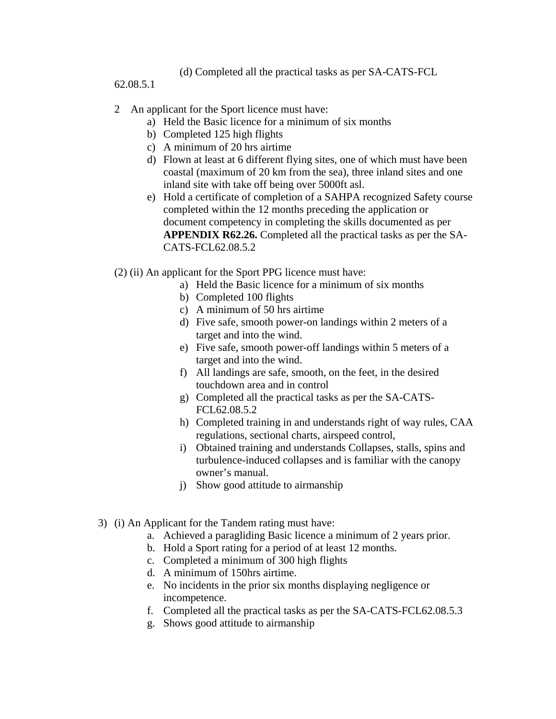(d) Completed all the practical tasks as per SA-CATS-FCL

62.08.5.1

## 2 An applicant for the Sport licence must have:

- a) Held the Basic licence for a minimum of six months
- b) Completed 125 high flights
- c) A minimum of 20 hrs airtime
- d) Flown at least at 6 different flying sites, one of which must have been coastal (maximum of 20 km from the sea), three inland sites and one inland site with take off being over 5000ft asl.
- e) Hold a certificate of completion of a SAHPA recognized Safety course completed within the 12 months preceding the application or document competency in completing the skills documented as per **APPENDIX R62.26.** Completed all the practical tasks as per the SA-CATS-FCL62.08.5.2
- (2) (ii) An applicant for the Sport PPG licence must have:
	- a) Held the Basic licence for a minimum of six months
	- b) Completed 100 flights
	- c) A minimum of 50 hrs airtime
	- d) Five safe, smooth power-on landings within 2 meters of a target and into the wind.
	- e) Five safe, smooth power-off landings within 5 meters of a target and into the wind.
	- f) All landings are safe, smooth, on the feet, in the desired touchdown area and in control
	- g) Completed all the practical tasks as per the SA-CATS-FCL62.08.5.2
	- h) Completed training in and understands right of way rules, CAA regulations, sectional charts, airspeed control,
	- i) Obtained training and understands Collapses, stalls, spins and turbulence-induced collapses and is familiar with the canopy owner's manual.
	- j) Show good attitude to airmanship
- 3) (i) An Applicant for the Tandem rating must have:
	- a. Achieved a paragliding Basic licence a minimum of 2 years prior.
	- b. Hold a Sport rating for a period of at least 12 months.
	- c. Completed a minimum of 300 high flights
	- d. A minimum of 150hrs airtime.
	- e. No incidents in the prior six months displaying negligence or incompetence.
	- f. Completed all the practical tasks as per the SA-CATS-FCL62.08.5.3
	- g. Shows good attitude to airmanship